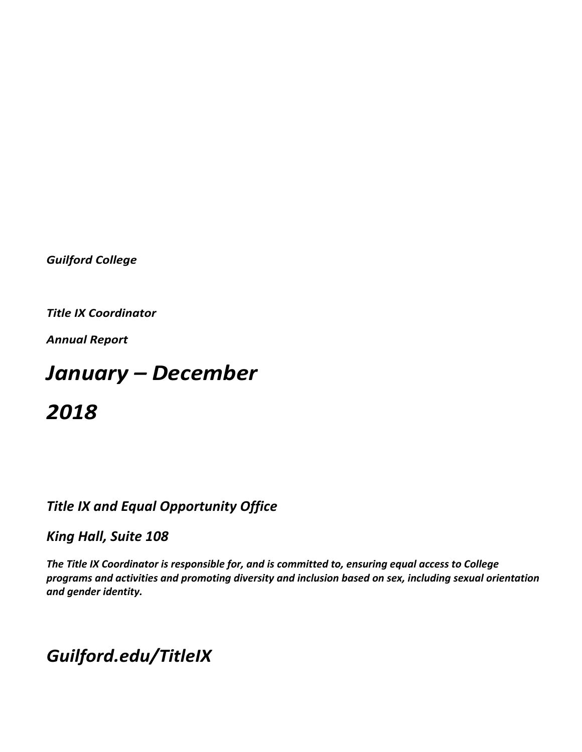*Guilford College*

**Title IX Coordinator** 

*Annual Report*

# *January – December*

*2018*

# **Title IX and Equal Opportunity Office**

# *King Hall, Suite 108*

The Title IX Coordinator is responsible for, and is committed to, ensuring equal access to College programs and activities and promoting diversity and inclusion based on sex, including sexual orientation *and gender identity.* 

# *Guilford.edu/TitleIX*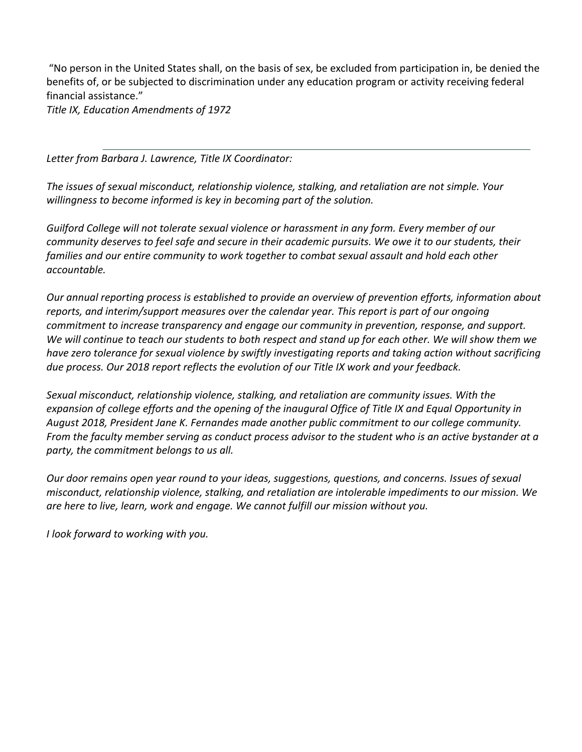"No person in the United States shall, on the basis of sex, be excluded from participation in, be denied the benefits of, or be subjected to discrimination under any education program or activity receiving federal financial assistance."

Title IX, Education Amendments of 1972

Letter from Barbara J. Lawrence, Title IX Coordinator:

The *issues* of sexual misconduct, relationship violence, stalking, and retaliation are not simple. Your *willingness* to become informed is key in becoming part of the solution.

Guilford College will not tolerate sexual violence or harassment in any form. Every member of our *community* deserves to feel safe and secure in their academic pursuits. We owe it to our students, their *families and our entire community to work together to combat sexual assault and hold each other accountable.* 

*Our* annual reporting process is established to provide an overview of prevention efforts, information about reports, and interim/support measures over the calendar year. This report is part of our ongoing *commitment to increase transparency and engage our community in prevention, response, and support.* We will continue to teach our students to both respect and stand up for each other. We will show them we *have zero tolerance for sexual violence by swiftly investigating reports and taking action without sacrificing* due process. Our 2018 report reflects the evolution of our Title IX work and your feedback.

Sexual misconduct, relationship violence, stalking, and retaliation are community issues. With the *expansion of college efforts and the opening of the inaugural Office of Title IX and Equal Opportunity in* August 2018, President Jane K. Fernandes made another public commitment to our college community. *From* the faculty member serving as conduct process advisor to the student who is an active bystander at a party, the commitment belongs to us all.

*Our door remains open year round to your ideas, suggestions, questions, and concerns. Issues of sexual misconduct, relationship violence, stalking, and retaliation are intolerable impediments to our mission. We*  are here to live, learn, work and engage. We cannot fulfill our mission without you.

*<i>I* look forward to working with you.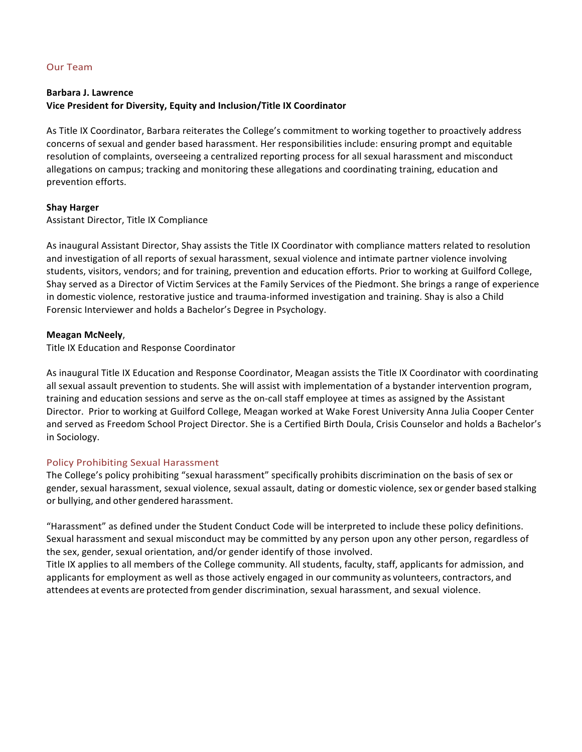## Our Team

#### **Barbara J. Lawrence**

## Vice President for Diversity, Equity and Inclusion/Title IX Coordinator

As Title IX Coordinator, Barbara reiterates the College's commitment to working together to proactively address concerns of sexual and gender based harassment. Her responsibilities include: ensuring prompt and equitable resolution of complaints, overseeing a centralized reporting process for all sexual harassment and misconduct allegations on campus; tracking and monitoring these allegations and coordinating training, education and prevention efforts.

#### **Shay Harger**

Assistant Director, Title IX Compliance

As inaugural Assistant Director, Shay assists the Title IX Coordinator with compliance matters related to resolution and investigation of all reports of sexual harassment, sexual violence and intimate partner violence involving students, visitors, vendors; and for training, prevention and education efforts. Prior to working at Guilford College, Shay served as a Director of Victim Services at the Family Services of the Piedmont. She brings a range of experience in domestic violence, restorative justice and trauma-informed investigation and training. Shay is also a Child Forensic Interviewer and holds a Bachelor's Degree in Psychology.

## **Meagan McNeely**,

Title IX Education and Response Coordinator

As inaugural Title IX Education and Response Coordinator, Meagan assists the Title IX Coordinator with coordinating all sexual assault prevention to students. She will assist with implementation of a bystander intervention program, training and education sessions and serve as the on-call staff employee at times as assigned by the Assistant Director. Prior to working at Guilford College, Meagan worked at Wake Forest University Anna Julia Cooper Center and served as Freedom School Project Director. She is a Certified Birth Doula, Crisis Counselor and holds a Bachelor's in Sociology.

# Policy Prohibiting Sexual Harassment

The College's policy prohibiting "sexual harassment" specifically prohibits discrimination on the basis of sex or gender, sexual harassment, sexual violence, sexual assault, dating or domestic violence, sex or gender based stalking or bullying, and other gendered harassment.

"Harassment" as defined under the Student Conduct Code will be interpreted to include these policy definitions. Sexual harassment and sexual misconduct may be committed by any person upon any other person, regardless of the sex, gender, sexual orientation, and/or gender identify of those involved.

Title IX applies to all members of the College community. All students, faculty, staff, applicants for admission, and applicants for employment as well as those actively engaged in our community as volunteers, contractors, and attendees at events are protected from gender discrimination, sexual harassment, and sexual violence.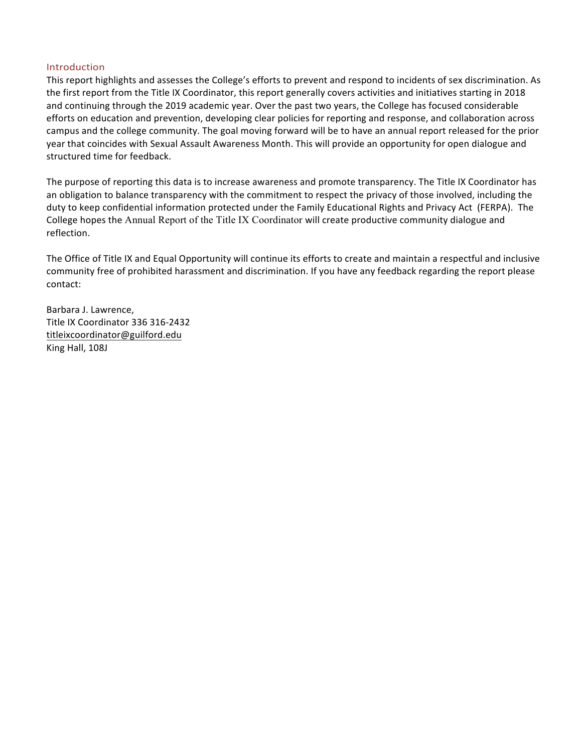#### Introduction

This report highlights and assesses the College's efforts to prevent and respond to incidents of sex discrimination. As the first report from the Title IX Coordinator, this report generally covers activities and initiatives starting in 2018 and continuing through the 2019 academic year. Over the past two years, the College has focused considerable efforts on education and prevention, developing clear policies for reporting and response, and collaboration across campus and the college community. The goal moving forward will be to have an annual report released for the prior year that coincides with Sexual Assault Awareness Month. This will provide an opportunity for open dialogue and structured time for feedback.

The purpose of reporting this data is to increase awareness and promote transparency. The Title IX Coordinator has an obligation to balance transparency with the commitment to respect the privacy of those involved, including the duty to keep confidential information protected under the Family Educational Rights and Privacy Act (FERPA). The College hopes the Annual Report of the Title IX Coordinator will create productive community dialogue and reflection.

The Office of Title IX and Equal Opportunity will continue its efforts to create and maintain a respectful and inclusive community free of prohibited harassment and discrimination. If you have any feedback regarding the report please contact:

Barbara J. Lawrence, Title IX Coordinator 336 316-2432 titleixcoordinator@guilford.edu King Hall, 108J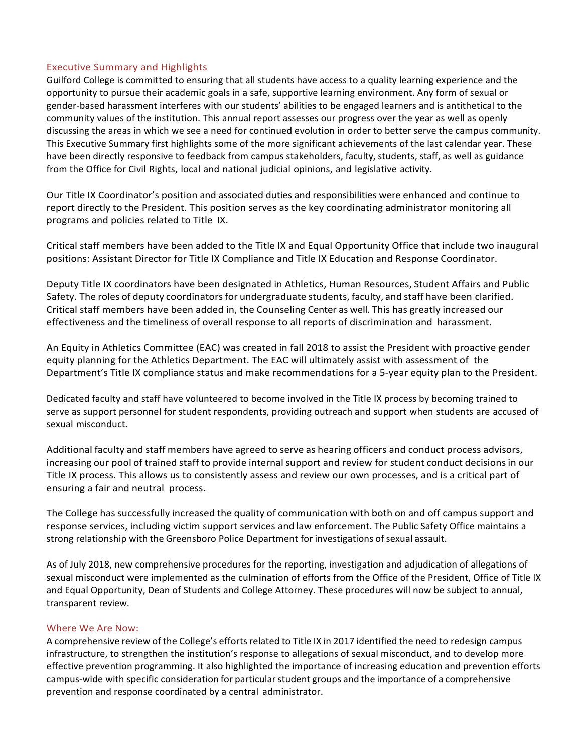# Executive Summary and Highlights

Guilford College is committed to ensuring that all students have access to a quality learning experience and the opportunity to pursue their academic goals in a safe, supportive learning environment. Any form of sexual or gender-based harassment interferes with our students' abilities to be engaged learners and is antithetical to the community values of the institution. This annual report assesses our progress over the year as well as openly discussing the areas in which we see a need for continued evolution in order to better serve the campus community. This Executive Summary first highlights some of the more significant achievements of the last calendar year. These have been directly responsive to feedback from campus stakeholders, faculty, students, staff, as well as guidance from the Office for Civil Rights, local and national judicial opinions, and legislative activity.

Our Title IX Coordinator's position and associated duties and responsibilities were enhanced and continue to report directly to the President. This position serves as the key coordinating administrator monitoring all programs and policies related to Title IX.

Critical staff members have been added to the Title IX and Equal Opportunity Office that include two inaugural positions: Assistant Director for Title IX Compliance and Title IX Education and Response Coordinator.

Deputy Title IX coordinators have been designated in Athletics, Human Resources, Student Affairs and Public Safety. The roles of deputy coordinators for undergraduate students, faculty, and staff have been clarified. Critical staff members have been added in, the Counseling Center as well. This has greatly increased our effectiveness and the timeliness of overall response to all reports of discrimination and harassment.

An Equity in Athletics Committee (EAC) was created in fall 2018 to assist the President with proactive gender equity planning for the Athletics Department. The EAC will ultimately assist with assessment of the Department's Title IX compliance status and make recommendations for a 5-year equity plan to the President.

Dedicated faculty and staff have volunteered to become involved in the Title IX process by becoming trained to serve as support personnel for student respondents, providing outreach and support when students are accused of sexual misconduct.

Additional faculty and staff members have agreed to serve as hearing officers and conduct process advisors, increasing our pool of trained staff to provide internal support and review for student conduct decisions in our Title IX process. This allows us to consistently assess and review our own processes, and is a critical part of ensuring a fair and neutral process.

The College has successfully increased the quality of communication with both on and off campus support and response services, including victim support services and law enforcement. The Public Safety Office maintains a strong relationship with the Greensboro Police Department for investigations of sexual assault.

As of July 2018, new comprehensive procedures for the reporting, investigation and adjudication of allegations of sexual misconduct were implemented as the culmination of efforts from the Office of the President, Office of Title IX and Equal Opportunity, Dean of Students and College Attorney. These procedures will now be subject to annual, transparent review.

#### Where We Are Now:

A comprehensive review of the College's efforts related to Title IX in 2017 identified the need to redesign campus infrastructure, to strengthen the institution's response to allegations of sexual misconduct, and to develop more effective prevention programming. It also highlighted the importance of increasing education and prevention efforts campus-wide with specific consideration for particular student groups and the importance of a comprehensive prevention and response coordinated by a central administrator.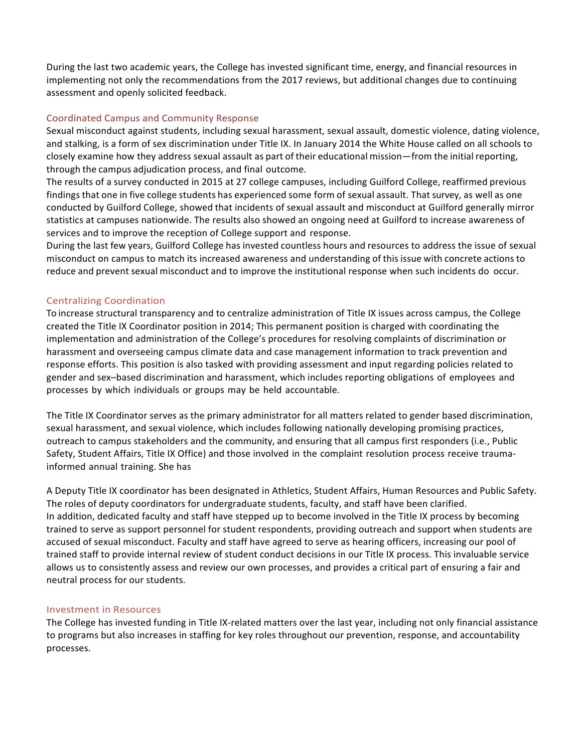During the last two academic years, the College has invested significant time, energy, and financial resources in implementing not only the recommendations from the 2017 reviews, but additional changes due to continuing assessment and openly solicited feedback.

# Coordinated Campus and Community Response

Sexual misconduct against students, including sexual harassment, sexual assault, domestic violence, dating violence, and stalking, is a form of sex discrimination under Title IX. In January 2014 the White House called on all schools to closely examine how they address sexual assault as part of their educational mission—from the initial reporting, through the campus adjudication process, and final outcome.

The results of a survey conducted in 2015 at 27 college campuses, including Guilford College, reaffirmed previous findings that one in five college students has experienced some form of sexual assault. That survey, as well as one conducted by Guilford College, showed that incidents of sexual assault and misconduct at Guilford generally mirror statistics at campuses nationwide. The results also showed an ongoing need at Guilford to increase awareness of services and to improve the reception of College support and response.

During the last few years, Guilford College has invested countless hours and resources to address the issue of sexual misconduct on campus to match its increased awareness and understanding of this issue with concrete actions to reduce and prevent sexual misconduct and to improve the institutional response when such incidents do occur.

# Centralizing Coordination

To increase structural transparency and to centralize administration of Title IX issues across campus, the College created the Title IX Coordinator position in 2014; This permanent position is charged with coordinating the implementation and administration of the College's procedures for resolving complaints of discrimination or harassment and overseeing campus climate data and case management information to track prevention and response efforts. This position is also tasked with providing assessment and input regarding policies related to gender and sex-based discrimination and harassment, which includes reporting obligations of employees and processes by which individuals or groups may be held accountable.

The Title IX Coordinator serves as the primary administrator for all matters related to gender based discrimination, sexual harassment, and sexual violence, which includes following nationally developing promising practices, outreach to campus stakeholders and the community, and ensuring that all campus first responders (i.e., Public Safety, Student Affairs, Title IX Office) and those involved in the complaint resolution process receive traumainformed annual training. She has

A Deputy Title IX coordinator has been designated in Athletics, Student Affairs, Human Resources and Public Safety. The roles of deputy coordinators for undergraduate students, faculty, and staff have been clarified. In addition, dedicated faculty and staff have stepped up to become involved in the Title IX process by becoming trained to serve as support personnel for student respondents, providing outreach and support when students are accused of sexual misconduct. Faculty and staff have agreed to serve as hearing officers, increasing our pool of trained staff to provide internal review of student conduct decisions in our Title IX process. This invaluable service allows us to consistently assess and review our own processes, and provides a critical part of ensuring a fair and neutral process for our students.

# Investment in Resources

The College has invested funding in Title IX-related matters over the last year, including not only financial assistance to programs but also increases in staffing for key roles throughout our prevention, response, and accountability processes.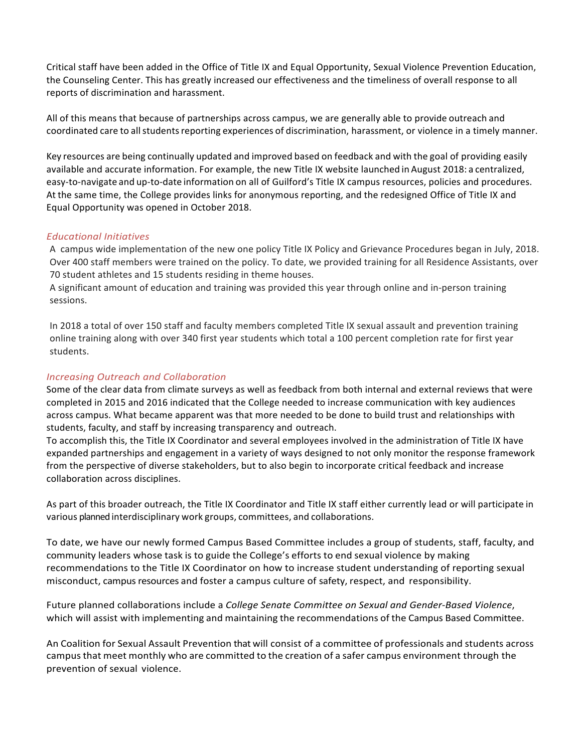Critical staff have been added in the Office of Title IX and Equal Opportunity, Sexual Violence Prevention Education, the Counseling Center. This has greatly increased our effectiveness and the timeliness of overall response to all reports of discrimination and harassment.

All of this means that because of partnerships across campus, we are generally able to provide outreach and coordinated care to all students reporting experiences of discrimination, harassment, or violence in a timely manner.

Key resources are being continually updated and improved based on feedback and with the goal of providing easily available and accurate information. For example, the new Title IX website launched in August 2018: a centralized, easy-to-navigate and up-to-date information on all of Guilford's Title IX campus resources, policies and procedures. At the same time, the College provides links for anonymous reporting, and the redesigned Office of Title IX and Equal Opportunity was opened in October 2018.

# *Educational Initiatives*

A campus wide implementation of the new one policy Title IX Policy and Grievance Procedures began in July, 2018. Over 400 staff members were trained on the policy. To date, we provided training for all Residence Assistants, over 70 student athletes and 15 students residing in theme houses.

A significant amount of education and training was provided this year through online and in-person training sessions.

In 2018 a total of over 150 staff and faculty members completed Title IX sexual assault and prevention training online training along with over 340 first year students which total a 100 percent completion rate for first year students.

# *Increasing Outreach and Collaboration*

Some of the clear data from climate surveys as well as feedback from both internal and external reviews that were completed in 2015 and 2016 indicated that the College needed to increase communication with key audiences across campus. What became apparent was that more needed to be done to build trust and relationships with students, faculty, and staff by increasing transparency and outreach.

To accomplish this, the Title IX Coordinator and several employees involved in the administration of Title IX have expanded partnerships and engagement in a variety of ways designed to not only monitor the response framework from the perspective of diverse stakeholders, but to also begin to incorporate critical feedback and increase collaboration across disciplines.

As part of this broader outreach, the Title IX Coordinator and Title IX staff either currently lead or will participate in various planned interdisciplinary work groups, committees, and collaborations.

To date, we have our newly formed Campus Based Committee includes a group of students, staff, faculty, and community leaders whose task is to guide the College's efforts to end sexual violence by making recommendations to the Title IX Coordinator on how to increase student understanding of reporting sexual misconduct, campus resources and foster a campus culture of safety, respect, and responsibility.

Future planned collaborations include a *College Senate Committee on Sexual and Gender-Based Violence*, which will assist with implementing and maintaining the recommendations of the Campus Based Committee.

An Coalition for Sexual Assault Prevention that will consist of a committee of professionals and students across campus that meet monthly who are committed to the creation of a safer campus environment through the prevention of sexual violence.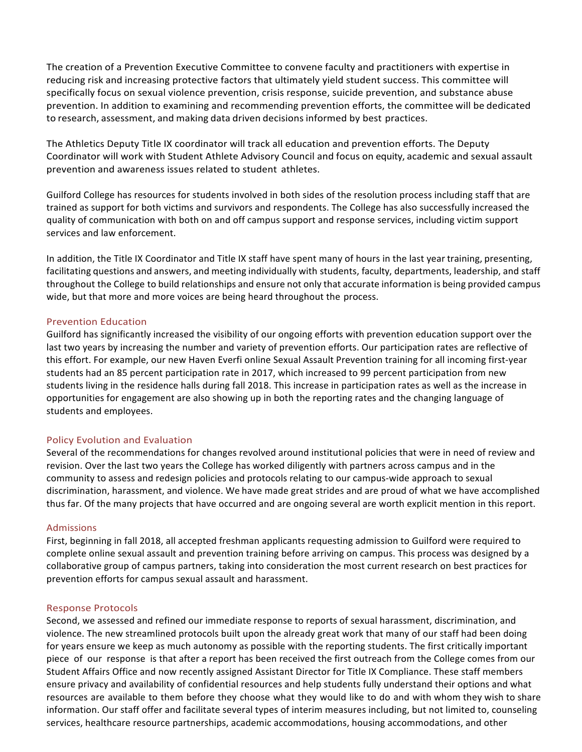The creation of a Prevention Executive Committee to convene faculty and practitioners with expertise in reducing risk and increasing protective factors that ultimately yield student success. This committee will specifically focus on sexual violence prevention, crisis response, suicide prevention, and substance abuse prevention. In addition to examining and recommending prevention efforts, the committee will be dedicated to research, assessment, and making data driven decisions informed by best practices.

The Athletics Deputy Title IX coordinator will track all education and prevention efforts. The Deputy Coordinator will work with Student Athlete Advisory Council and focus on equity, academic and sexual assault prevention and awareness issues related to student athletes.

Guilford College has resources for students involved in both sides of the resolution process including staff that are trained as support for both victims and survivors and respondents. The College has also successfully increased the quality of communication with both on and off campus support and response services, including victim support services and law enforcement.

In addition, the Title IX Coordinator and Title IX staff have spent many of hours in the last year training, presenting, facilitating questions and answers, and meeting individually with students, faculty, departments, leadership, and staff throughout the College to build relationships and ensure not only that accurate information is being provided campus wide, but that more and more voices are being heard throughout the process.

# Prevention Education

Guilford has significantly increased the visibility of our ongoing efforts with prevention education support over the last two years by increasing the number and variety of prevention efforts. Our participation rates are reflective of this effort. For example, our new Haven Everfi online Sexual Assault Prevention training for all incoming first-year students had an 85 percent participation rate in 2017, which increased to 99 percent participation from new students living in the residence halls during fall 2018. This increase in participation rates as well as the increase in opportunities for engagement are also showing up in both the reporting rates and the changing language of students and employees.

#### Policy Evolution and Evaluation

Several of the recommendations for changes revolved around institutional policies that were in need of review and revision. Over the last two years the College has worked diligently with partners across campus and in the community to assess and redesign policies and protocols relating to our campus-wide approach to sexual discrimination, harassment, and violence. We have made great strides and are proud of what we have accomplished thus far. Of the many projects that have occurred and are ongoing several are worth explicit mention in this report.

#### Admissions

First, beginning in fall 2018, all accepted freshman applicants requesting admission to Guilford were required to complete online sexual assault and prevention training before arriving on campus. This process was designed by a collaborative group of campus partners, taking into consideration the most current research on best practices for prevention efforts for campus sexual assault and harassment.

#### Response Protocols

Second, we assessed and refined our immediate response to reports of sexual harassment, discrimination, and violence. The new streamlined protocols built upon the already great work that many of our staff had been doing for years ensure we keep as much autonomy as possible with the reporting students. The first critically important piece of our response is that after a report has been received the first outreach from the College comes from our Student Affairs Office and now recently assigned Assistant Director for Title IX Compliance. These staff members ensure privacy and availability of confidential resources and help students fully understand their options and what resources are available to them before they choose what they would like to do and with whom they wish to share information. Our staff offer and facilitate several types of interim measures including, but not limited to, counseling services, healthcare resource partnerships, academic accommodations, housing accommodations, and other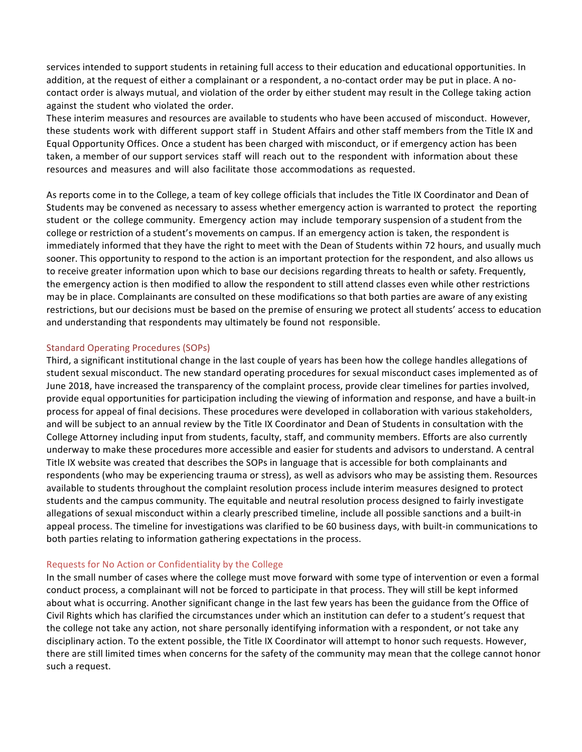services intended to support students in retaining full access to their education and educational opportunities. In addition, at the request of either a complainant or a respondent, a no-contact order may be put in place. A nocontact order is always mutual, and violation of the order by either student may result in the College taking action against the student who violated the order.

These interim measures and resources are available to students who have been accused of misconduct. However, these students work with different support staff in Student Affairs and other staff members from the Title IX and Equal Opportunity Offices. Once a student has been charged with misconduct, or if emergency action has been taken, a member of our support services staff will reach out to the respondent with information about these resources and measures and will also facilitate those accommodations as requested.

As reports come in to the College, a team of key college officials that includes the Title IX Coordinator and Dean of Students may be convened as necessary to assess whether emergency action is warranted to protect the reporting student or the college community. Emergency action may include temporary suspension of a student from the college or restriction of a student's movements on campus. If an emergency action is taken, the respondent is immediately informed that they have the right to meet with the Dean of Students within 72 hours, and usually much sooner. This opportunity to respond to the action is an important protection for the respondent, and also allows us to receive greater information upon which to base our decisions regarding threats to health or safety. Frequently, the emergency action is then modified to allow the respondent to still attend classes even while other restrictions may be in place. Complainants are consulted on these modifications so that both parties are aware of any existing restrictions, but our decisions must be based on the premise of ensuring we protect all students' access to education and understanding that respondents may ultimately be found not responsible.

# Standard Operating Procedures (SOPs)

Third, a significant institutional change in the last couple of years has been how the college handles allegations of student sexual misconduct. The new standard operating procedures for sexual misconduct cases implemented as of June 2018, have increased the transparency of the complaint process, provide clear timelines for parties involved, provide equal opportunities for participation including the viewing of information and response, and have a built-in process for appeal of final decisions. These procedures were developed in collaboration with various stakeholders, and will be subject to an annual review by the Title IX Coordinator and Dean of Students in consultation with the College Attorney including input from students, faculty, staff, and community members. Efforts are also currently underway to make these procedures more accessible and easier for students and advisors to understand. A central Title IX website was created that describes the SOPs in language that is accessible for both complainants and respondents (who may be experiencing trauma or stress), as well as advisors who may be assisting them. Resources available to students throughout the complaint resolution process include interim measures designed to protect students and the campus community. The equitable and neutral resolution process designed to fairly investigate allegations of sexual misconduct within a clearly prescribed timeline, include all possible sanctions and a built-in appeal process. The timeline for investigations was clarified to be 60 business days, with built-in communications to both parties relating to information gathering expectations in the process.

# Requests for No Action or Confidentiality by the College

In the small number of cases where the college must move forward with some type of intervention or even a formal conduct process, a complainant will not be forced to participate in that process. They will still be kept informed about what is occurring. Another significant change in the last few years has been the guidance from the Office of Civil Rights which has clarified the circumstances under which an institution can defer to a student's request that the college not take any action, not share personally identifying information with a respondent, or not take any disciplinary action. To the extent possible, the Title IX Coordinator will attempt to honor such requests. However, there are still limited times when concerns for the safety of the community may mean that the college cannot honor such a request.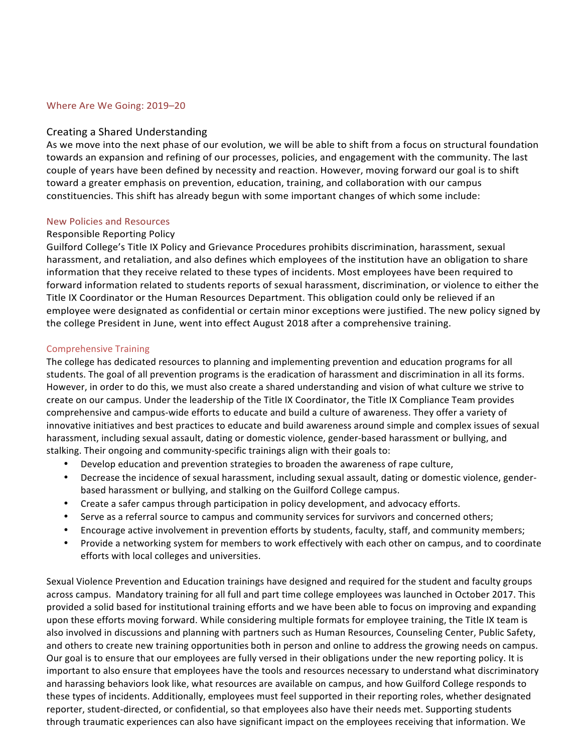#### Where Are We Going: 2019-20

#### Creating a Shared Understanding

As we move into the next phase of our evolution, we will be able to shift from a focus on structural foundation towards an expansion and refining of our processes, policies, and engagement with the community. The last couple of years have been defined by necessity and reaction. However, moving forward our goal is to shift toward a greater emphasis on prevention, education, training, and collaboration with our campus constituencies. This shift has already begun with some important changes of which some include:

#### New Policies and Resources

## Responsible Reporting Policy

Guilford College's Title IX Policy and Grievance Procedures prohibits discrimination, harassment, sexual harassment, and retaliation, and also defines which employees of the institution have an obligation to share information that they receive related to these types of incidents. Most employees have been required to forward information related to students reports of sexual harassment, discrimination, or violence to either the Title IX Coordinator or the Human Resources Department. This obligation could only be relieved if an employee were designated as confidential or certain minor exceptions were justified. The new policy signed by the college President in June, went into effect August 2018 after a comprehensive training.

## Comprehensive Training

The college has dedicated resources to planning and implementing prevention and education programs for all students. The goal of all prevention programs is the eradication of harassment and discrimination in all its forms. However, in order to do this, we must also create a shared understanding and vision of what culture we strive to create on our campus. Under the leadership of the Title IX Coordinator, the Title IX Compliance Team provides comprehensive and campus-wide efforts to educate and build a culture of awareness. They offer a variety of innovative initiatives and best practices to educate and build awareness around simple and complex issues of sexual harassment, including sexual assault, dating or domestic violence, gender-based harassment or bullying, and stalking. Their ongoing and community-specific trainings align with their goals to:

- Develop education and prevention strategies to broaden the awareness of rape culture,
- Decrease the incidence of sexual harassment, including sexual assault, dating or domestic violence, genderbased harassment or bullying, and stalking on the Guilford College campus.
- Create a safer campus through participation in policy development, and advocacy efforts.
- Serve as a referral source to campus and community services for survivors and concerned others;
- Encourage active involvement in prevention efforts by students, faculty, staff, and community members;
- Provide a networking system for members to work effectively with each other on campus, and to coordinate efforts with local colleges and universities.

Sexual Violence Prevention and Education trainings have designed and required for the student and faculty groups across campus. Mandatory training for all full and part time college employees was launched in October 2017. This provided a solid based for institutional training efforts and we have been able to focus on improving and expanding upon these efforts moving forward. While considering multiple formats for employee training, the Title IX team is also involved in discussions and planning with partners such as Human Resources, Counseling Center, Public Safety, and others to create new training opportunities both in person and online to address the growing needs on campus. Our goal is to ensure that our employees are fully versed in their obligations under the new reporting policy. It is important to also ensure that employees have the tools and resources necessary to understand what discriminatory and harassing behaviors look like, what resources are available on campus, and how Guilford College responds to these types of incidents. Additionally, employees must feel supported in their reporting roles, whether designated reporter, student-directed, or confidential, so that employees also have their needs met. Supporting students through traumatic experiences can also have significant impact on the employees receiving that information. We